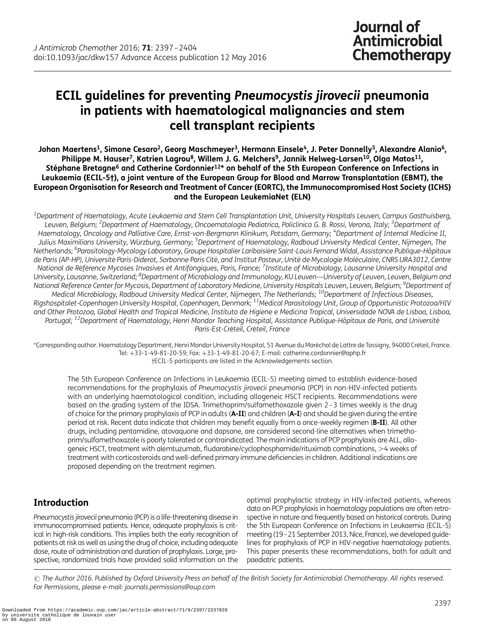# ECIL guidelines for preventing Pneumocystis jirovecii pneumonia in patients with haematological malignancies and stem cell transplant recipients

Johan Maertens<sup>1</sup>, Simone Cesaro<sup>2</sup>, Georg Maschmeyer<sup>3</sup>, Hermann Einsele<sup>4</sup>, J. Peter Donnelly<sup>5</sup>, Alexandre Alanio<sup>6</sup>, Philippe M. Hauser<sup>7</sup>, Katrien Lagrou<sup>8</sup>, Willem J. G. Melchers<sup>9</sup>, Jannik Helweg-Larsen<sup>10</sup>, Olga Matos<sup>11</sup>, Stéphane Bretagne<sup>6</sup> and Catherine Cordonnier<sup>12\*</sup> on behalf of the 5th European Conference on Infections in Leukaemia (ECIL-5†), a joint venture of the European Group for Blood and Marrow Transplantation (EBMT), the European Organisation for Research and Treatment of Cancer (EORTC), the Immunocompromised Host Society (ICHS) and the European LeukemiaNet (ELN)

 $^{\rm 1}$ Department of Haematology, Acute Leukaemia and Stem Cell Transplantation Unit, University Hospitals Leuven, Campus Gasthuisberg, Leuven, Belgium; <sup>2</sup>Department of Haematology, Oncoematologia Pediatrica, Policlinico G. B. Rossi, Verona, Italy; <sup>3</sup>Department of Haematology, Oncology and Palliative Care, Ernst-von-Bergmann Klinikum, Potsdam, Germany; <sup>4</sup>Department of Internal Medicine II, Julius Maximilians University, Würzburg, Germany; <sup>5</sup>Department of Haematology, Radboud University Medical Center, Nijmegen, The Netherlands; <sup>6</sup>Parasitology-Mycology Laboratory, Groupe Hospitalier Lariboisière Saint-Louis Fernand Widal, Assistance Publique-Hôpitaux de Paris (AP-HP), Université Paris-Diderot, Sorbonne Paris Cité, and Institut Pasteur, Unité de Mycologie Moléculaire, CNRS URA3012, Centre National de Référence Mycoses Invasives et Antifongiques, Paris, France; <sup>7</sup>Institute of Microbiology, Lausanne University Hospital and University, Lausanne, Switzerland; <sup>8</sup>Department of Microbiology and Immunology, KU Leuven—University of Leuven, Leuven, Belgium and National Reference Center for Mycosis, Department of Laboratory Medicine, University Hospitals Leuven, Leuven, Belgium; <sup>9</sup>Department of Medical Microbiology, Radboud University Medical Center, Nijmegen, The Netherlands; <sup>10</sup>Department of Infectious Diseases, Rigshospitalet-Copenhagen University Hospital, Copenhagen, Denmark; 11Medical Parasitology Unit, Group of Opportunistic Protozoa/HIV and Other Protozoa, Global Health and Tropical Medicine, Instituto de Higiene e Medicina Tropical, Universidade NOVA de Lisboa, Lisboa, Portugal; <sup>12</sup>Department of Haematology, Henri Mondor Teaching Hospital, Assistance Publique-Hôpitaux de Paris, and Université Paris-Est-Créteil, Créteil, France

\*Corresponding author. Haematology Department, Henri Mondor University Hospital, 51 Avenue du Maréchal de Lattre de Tassigny, 94000 Créteil, France. Tel: +33-1-49-81-20-59; Fax: +33-1-49-81-20-67; E-mail: catherine.cordonnier@aphp.fr †ECIL-5 participants are listed in the Acknowledgements section.

The 5th European Conference on Infections in Leukaemia (ECIL-5) meeting aimed to establish evidence-based recommendations for the prophylaxis of Pneumocystis jirovecii pneumonia (PCP) in non-HIV-infected patients with an underlying haematological condition, including allogeneic HSCT recipients. Recommendations were based on the grading system of the IDSA. Trimethoprim/sulfamethoxazole given 2–3 times weekly is the drug of choice for the primary prophylaxis of PCP in adults (A-II) and children (A-I) and should be given during the entire period at risk. Recent data indicate that children may benefit equally from a once-weekly regimen (B-II). All other drugs, including pentamidine, atovaquone and dapsone, are considered second-line alternatives when trimethoprim/sulfamethoxazole is poorly tolerated or contraindicated. The main indications of PCP prophylaxis are ALL, allogeneic HSCT, treatment with alemtuzumab, fludarabine/cyclophosphamide/rituximab combinations, >4 weeks of treatment with corticosteroids and well-defined primary immune deficiencies in children. Additional indications are proposed depending on the treatment regimen.

# Introduction

Pneumocystis jirovecii pneumonia (PCP) is a life-threatening disease in immunocompromised patients. Hence, adequate prophylaxis is critical in high-risk conditions. This implies both the early recognition of patients at risk as well as using the drug of choice, including adequate dose, route of administration and duration of prophylaxis. Large, prospective, randomized trials have provided solid information on the

optimal prophylactic strategy in HIV-infected patients, whereas data on PCP prophylaxis in haematology populations are often retrospective in nature and frequently based on historical controls. During the 5th European Conference on Infections in Leukaemia (ECIL-5) meeting (19–21 September 2013, Nice, France), we developed guidelines for prophylaxis of PCP in HIV-negative haematology patients. This paper presents these recommendations, both for adult and paediatric patients.

© The Author 2016. Published by Oxford University Press on behalf of the British Society for Antimicrobial Chemotherapy. All rights reserved. For Permissions, please e-mail: journals.permissions@oup.com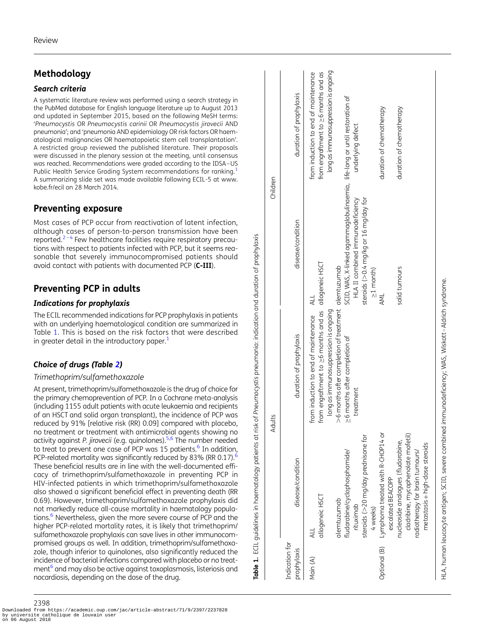# <span id="page-1-0"></span>Methodology

#### Search criteria

A systematic literature review was performed using a search strategy in the PubMed database for English language literature up to August 2013 and updated in September 2015, based on the following MeSH terms: 'Pneumocystis OR Pneumocystis carinii OR Pneumocystis jirovecii AND pneumonia'; and 'pneumonia AND epidemiology OR risk factors OR haematological malignancies OR haematopoietic stem cell transplantation'. A restricted group reviewed the published literature. Their proposals were discussed in the plenary session at the meeting, until consensus was reached. Recommendations were graded according to the IDSA–US Public Health Service Grading System recommendations for ranking.<sup>[1](#page-6-0)</sup> A summarizing slide set was made available following ECIL-5 at [www.](http://www.kobe.fr/ecil) [kobe.fr/ecil](http://www.kobe.fr/ecil) on 28 March 2014.

# Preventing exposure

Most cases of PCP occur from reactivation of latent infection, although cases of person-to-person transmission have been reported.<sup>[2](#page-6-0)–[4](#page-6-0)</sup> Few healthcare facilities require respiratory precautions with respect to patients infected with PCP, but it seems reasonable that severely immunocompromised patients should avoid contact with patients with documented PCP (C-III).

# Preventing PCP in adults

### Indications for prophylaxis

The ECIL recommended indications for PCP prophylaxis in patients with an underlying haematological condition are summarized in Table 1. This is based on the risk factors that were described in greater detail in the introductory paper.<sup>1</sup>

## Choice of drugs (Table [2](#page-2-0))

#### Trimethoprim/sulfamethoxazole

At present, trimethoprim/sulfamethoxazole is the drug of choice for the primary chemoprevention of PCP. In a Cochrane meta-analysis (including 1155 adult patients with acute leukaemia and recipients of an HSCT and solid organ transplant), the incidence of PCP was reduced by 91% [relative risk (RR) 0.09] compared with placebo, no treatment or treatment with antimicrobial agents showing no activity against P. jirovecii (e.g. quinolones).<sup>[5,6](#page-6-0)</sup> The number needed to treat to prevent one case of PCP was 15 patients. $<sup>6</sup>$  $<sup>6</sup>$  $<sup>6</sup>$  In addition,</sup> PCP-related mortality was significantly reduced by 83% (RR 0.17).<sup>[6](#page-6-0)</sup> These beneficial results are in line with the well-documented efficacy of trimethoprim/sulfamethoxazole in preventing PCP in HIV-infected patients in which trimethoprim/sulfamethoxazole also showed a significant beneficial effect in preventing death (RR 0.69). However, trimethoprim/sulfamethoxazole prophylaxis did not markedly reduce all-cause mortality in haematology populations.<sup>6</sup> Nevertheless, given the more severe course of PCP and the higher PCP-related mortality rates, it is likely that trimethoprim/ sulfamethoxazole prophylaxis can save lives in other immunocompromised groups as well. In addition, trimethoprim/sulfamethoxazole, though inferior to quinolones, also significantly reduced the incidence of bacterial infections compared with placebo or no treatment<sup>b</sup> and may also be active against toxoplasmosis, listeriosis and nocardiosis, depending on the dose of the drug.

ECIL quidelines in haematology patients at risk of Pneumocystis pneumonia: indication and duration of prophylaxis Table 1. ECIL guidelines in haematology patients at risk of Pneumocystis pneumonia: indication and duration of prophylaxis rable 1.

|                               |                                     | Adults                                                                                             | Children                                                                   |                                                                                    |
|-------------------------------|-------------------------------------|----------------------------------------------------------------------------------------------------|----------------------------------------------------------------------------|------------------------------------------------------------------------------------|
| Indication for<br>prophylaxis | disease/condition                   | duration of prophylaxis                                                                            | disease/condition                                                          | duration of prophylaxis                                                            |
| Main (A)                      | allogeneic HSCT                     | from engraftment to $\geq$ 6 months and as allogeneic HSCT<br>from induction to end of maintenance |                                                                            | from induction to end of maintenance<br>from engraftment to $\geq$ 6 months and as |
|                               |                                     | long as immunosuppression is ongoing                                                               |                                                                            | long as immunosuppression is ongoing                                               |
|                               | alemtuzumab                         | $>$ 6 months after completion of treatment alemtuzumab                                             |                                                                            |                                                                                    |
|                               | fludarabine/cyclophosphamide/       | >6 months after completion of                                                                      | SCID, WAS, X-linked agammaglobulinaemia, life-long or until restoration of |                                                                                    |
|                               | rituximab                           | treatment                                                                                          | HLA II combined immunodeficiency                                           | underlying defect                                                                  |
|                               | steroids (>20 mg/day prednisone for |                                                                                                    | steroids (>0.4 mg/kg or 16 mg/day for                                      |                                                                                    |
|                               | 4 weeks)                            |                                                                                                    | $\geq$ 1 month)                                                            |                                                                                    |
| Optional (B)                  | Lymphoma treated with R-CHOP14 or   |                                                                                                    | AML                                                                        | duration of chemotherapy                                                           |
|                               | escalated BEACOPP                   |                                                                                                    |                                                                            |                                                                                    |
|                               | nucleoside analogues (fludarabine,  |                                                                                                    | solid tumours                                                              | duration of chemotherapy                                                           |
|                               | cladribine, mycophenolate mofetil)  |                                                                                                    |                                                                            |                                                                                    |
|                               | radiotherapy for brain tumours/     |                                                                                                    |                                                                            |                                                                                    |
|                               | metastasis+high-dose steroids       |                                                                                                    |                                                                            |                                                                                    |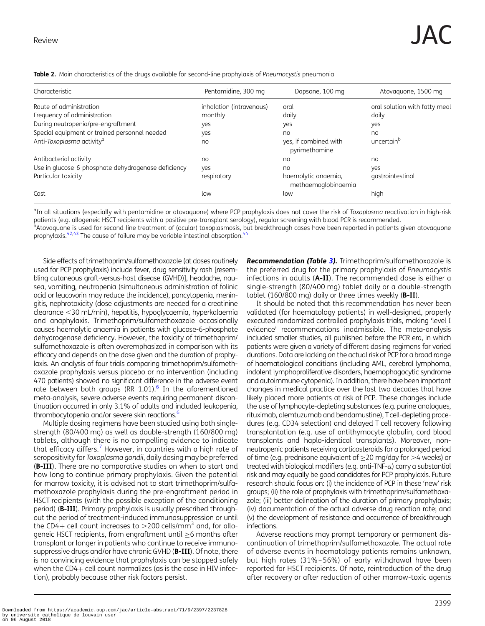| Characteristic                                      | Pentamidine, 300 mg      | Dapsone, 100 mg                            | Atovaguone, 1500 mg           |
|-----------------------------------------------------|--------------------------|--------------------------------------------|-------------------------------|
| Route of administration                             | inhalation (intravenous) | oral                                       | oral solution with fatty meal |
| Frequency of administration                         | monthly                  | daily                                      | daily                         |
| During neutropenia/pre-engraftment                  | yes                      | yes                                        | yes                           |
| Special equipment or trained personnel needed       | yes                      | no                                         | no                            |
| Anti-Toxoplasma activity <sup>a</sup>               | no                       | yes, if combined with<br>pyrimethamine     | uncertain <sup>b</sup>        |
| Antibacterial activity                              | no                       | no                                         | no                            |
| Use in glucose-6-phosphate dehydrogenase deficiency | yes                      | no                                         | yes                           |
| Particular toxicity                                 | respiratory              | haemolytic anaemia,<br>methaemoglobinaemia | gastrointestinal              |
| Cost                                                | low                      | low                                        | high                          |

<span id="page-2-0"></span>Table 2. Main characteristics of the drugs available for second-line prophylaxis of Pneumocystis pneumonia

<sup>a</sup>In all situations (especially with pentamidine or atovaquone) where PCP prophylaxis does not cover the risk of Toxoplasma reactivation in high-risk patients (e.g. allogeneic HSCT recipients with a positive pre-transplant serology), regular screening with blood PCR is recommended.<br><sup>b</sup>Atovaquone is used for second-line treatment of (ocular) toxoplasmosis, but breakthrou

prophylaxis.<sup>42,[43](#page-7-0)</sup> The cause of failure may be variable intestinal absorption.<sup>[44](#page-7-0)</sup>

Side effects of trimethoprim/sulfamethoxazole (at doses routinely used for PCP prophylaxis) include fever, drug sensitivity rash [resembling cutaneous graft-versus-host disease (GVHD)], headache, nausea, vomiting, neutropenia (simultaneous administration of folinic acid or leucovorin may reduce the incidence), pancytopenia, meningitis, nephrotoxicity (dose adjustments are needed for a creatinine  $c$ learance  $<$ 30 mL/min), hepatitis, hypoglycaemia, hyperkalaemia and anaphylaxis. Trimethoprim/sulfamethoxazole occasionally causes haemolytic anaemia in patients with glucose-6-phosphate dehydrogenase deficiency. However, the toxicity of trimethoprim/ sulfamethoxazole is often overemphasized in comparison with its efficacy and depends on the dose given and the duration of prophylaxis. An analysis of four trials comparing trimethoprim/sulfamethoxazole prophylaxis versus placebo or no intervention (including 470 patients) showed no significant difference in the adverse event rate between both groups (RR 1.01). $^6$  In the aforementioned meta-analysis, severe adverse events requiring permanent discontinuation occurred in only 3.1% of adults and included leukopenia, thrombocytopenia and/or severe skin reactions.<sup>6</sup>

Multiple dosing regimens have been studied using both singlestrength (80/400 mg) as well as double-strength (160/800 mg) tablets, although there is no compelling evidence to indicate that efficacy differs.<sup>[7](#page-6-0)</sup> However, in countries with a high rate of seropositivity for Toxoplasma gondii, daily dosing may be preferred (B-III). There are no comparative studies on when to start and how long to continue primary prophylaxis. Given the potential for marrow toxicity, it is advised not to start trimethoprim/sulfamethoxazole prophylaxis during the pre-engraftment period in HSCT recipients (with the possible exception of the conditioning period) (B-III). Primary prophylaxis is usually prescribed throughout the period of treatment-induced immunosuppression or until the CD4+ cell count increases to  $>$ 200 cells/mm<sup>3</sup> and, for allogeneic HSCT recipients, from engraftment until ≥6 months after transplant or longer in patients who continue to receive immunosuppressive drugs and/or have chronic GVHD (**B-III**). Of note, there is no convincing evidence that prophylaxis can be stopped safely when the  $CD4+$  cell count normalizes (as is the case in HIV infection), probably because other risk factors persist.

**Recommendation (Table [3\)](#page-3-0).** Trimethoprim/sulfamethoxazole is the preferred drug for the primary prophylaxis of Pneumocystis infections in adults (A-II). The recommended dose is either a single-strength (80/400 mg) tablet daily or a double-strength tablet (160/800 mg) daily or three times weekly ( $B$ -II).

It should be noted that this recommendation has never been validated (for haematology patients) in well-designed, properly executed randomized controlled prophylaxis trials, making 'level I evidence' recommendations inadmissible. The meta-analysis included smaller studies, all published before the PCR era, in which patients were given a variety of different dosing regimens for varied durations. Data are lacking on the actual risk of PCP for a broad range of haematological conditions (including AML, cerebral lymphoma, indolent lymphoproliferative disorders, haemophagocytic syndrome and autoimmune cytopenia). In addition, there have been important changes in medical practice over the last two decades that have likely placed more patients at risk of PCP. These changes include the use of lymphocyte-depleting substances (e.g. purine analogues, rituximab, alemtuzumab and bendamustine), Tcell-depleting procedures (e.g. CD34 selection) and delayed T cell recovery following transplantation (e.g. use of antithymocyte globulin, cord blood transplants and haplo-identical transplants). Moreover, nonneutropenic patients receiving corticosteroids for a prolonged period of time (e.g. prednisone equivalent of  $\geq$  20 mg/day for  $>$ 4 weeks) or treated with biological modifiers (e.g. anti-TNF- $\alpha$ ) carry a substantial risk and may equally be good candidates for PCP prophylaxis. Future research should focus on: (i) the incidence of PCP in these 'new' risk groups; (ii) the role of prophylaxis with trimethoprim/sulfamethoxazole; (iii) better delineation of the duration of primary prophylaxis; (iv) documentation of the actual adverse drug reaction rate; and (v) the development of resistance and occurrence of breakthrough infections.

Adverse reactions may prompt temporary or permanent discontinuation of trimethoprim/sulfamethoxazole. The actual rate of adverse events in haematology patients remains unknown, but high rates (31%–56%) of early withdrawal have been reported for HSCT recipients. Of note, reintroduction of the drug after recovery or after reduction of other marrow-toxic agents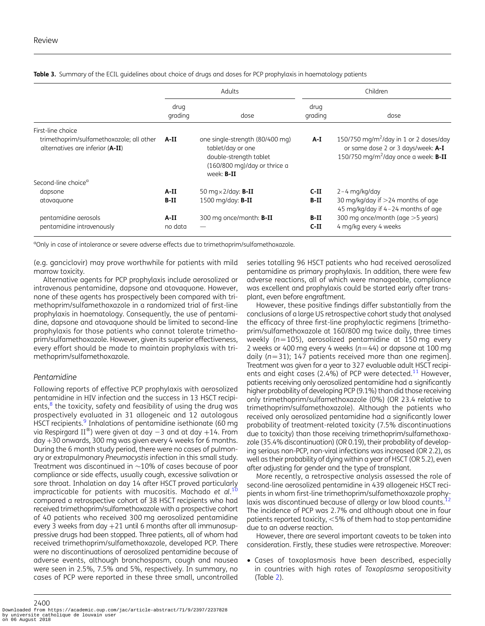|                                                                              | Adults          |                                                                                                                                                | Children          |                                                                                                                                                 |
|------------------------------------------------------------------------------|-----------------|------------------------------------------------------------------------------------------------------------------------------------------------|-------------------|-------------------------------------------------------------------------------------------------------------------------------------------------|
|                                                                              | drug<br>grading | dose                                                                                                                                           | drug<br>grading   | dose                                                                                                                                            |
| First-line choice                                                            |                 |                                                                                                                                                |                   |                                                                                                                                                 |
| trimethoprim/sulfamethoxazole; all other<br>alternatives are inferior (A-II) | A-II            | one single-strength (80/400 mg)<br>tablet/day or one<br>double-strength tablet<br>$(160/800 \text{ mg})$ /day or thrice a<br>week: <b>B-II</b> | A-I               | 150/750 mg/m <sup>2</sup> /day in 1 or 2 doses/day<br>or same dose 2 or 3 days/week: A-I<br>150/750 mg/m <sup>2</sup> /day once a week: $B$ -II |
| Second-line choice <sup>a</sup>                                              |                 |                                                                                                                                                |                   |                                                                                                                                                 |
| dapsone                                                                      | A-II            | 50 mg $\times$ 2/day: <b>B-II</b>                                                                                                              | $C-II$            | $2 - 4$ mg/kg/day                                                                                                                               |
| atovaquone                                                                   | $B-II$          | $1500 \text{ mg/day}$ : B-II                                                                                                                   | B-II              | 30 mg/kg/day if $>$ 24 months of age<br>45 mg/kg/day if 4-24 months of age                                                                      |
| pentamidine aerosols<br>pentamidine intravenously                            | A-II<br>no data | 300 mg once/month: <b>B-II</b>                                                                                                                 | $B-II$<br>$C-III$ | 300 mg once/month (age >5 years)<br>4 mg/kg every 4 weeks                                                                                       |

<span id="page-3-0"></span>**Table 3.** Summary of the ECIL quidelines about choice of drugs and doses for PCP prophylaxis in haematology patients

<sup>a</sup>Only in case of intolerance or severe adverse effects due to trimethoprim/sulfamethoxazole.

(e.g. ganciclovir) may prove worthwhile for patients with mild marrow toxicity.

Alternative agents for PCP prophylaxis include aerosolized or intravenous pentamidine, dapsone and atovaquone. However, none of these agents has prospectively been compared with trimethoprim/sulfamethoxazole in a randomized trial of first-line prophylaxis in haematology. Consequently, the use of pentamidine, dapsone and atovaquone should be limited to second-line prophylaxis for those patients who cannot tolerate trimethoprim/sulfamethoxazole. However, given its superior effectiveness, every effort should be made to maintain prophylaxis with trimethoprim/sulfamethoxazole.

#### Pentamidine

Following reports of effective PCP prophylaxis with aerosolized pentamidine in HIV infection and the success in 13 HSCT recipients, $8$  the toxicity, safety and feasibility of using the drug was prospectively evaluated in 31 allogeneic and 12 autologous HSCT recipients.<sup>[9](#page-6-0)</sup> Inhalations of pentamidine isethionate (60 mg via Respirgard II<sup>®</sup>) were given at day  $-3$  and at day  $+14$ . From  $day +30$  onwards, 300 mg was given every 4 weeks for 6 months. During the 6 month study period, there were no cases of pulmonary or extrapulmonary Pneumocystis infection in this small study. Treatment was discontinued in  $\sim$ 10% of cases because of poor compliance or side effects, usually cough, excessive salivation or sore throat. Inhalation on day 14 after HSCT proved particularly impracticable for patients with mucositis. Machado *et al.*  $^{10}$  $^{10}$  $^{10}$ compared a retrospective cohort of 38 HSCT recipients who had received trimethoprim/sulfamethoxazole with a prospective cohort of 40 patients who received 300 mg aerosolized pentamidine every 3 weeks from day  $+21$  until 6 months after all immunosuppressive drugs had been stopped. Three patients, all of whom had received trimethoprim/sulfamethoxazole, developed PCP. There were no discontinuations of aerosolized pentamidine because of adverse events, although bronchospasm, cough and nausea were seen in 2.5%, 7.5% and 5%, respectively. In summary, no cases of PCP were reported in these three small, uncontrolled

series totalling 96 HSCT patients who had received aerosolized pentamidine as primary prophylaxis. In addition, there were few adverse reactions, all of which were manageable, compliance was excellent and prophylaxis could be started early after transplant, even before engraftment.

However, these positive findings differ substantially from the conclusions of a large US retrospective cohort study that analysed the efficacy of three first-line prophylactic regimens [trimethoprim/sulfamethoxazole at 160/800 mg twice daily, three times weekly ( $n=105$ ), aerosolized pentamidine at 150 mg every 2 weeks or 400 mg every 4 weeks ( $n=44$ ) or dapsone at 100 mg daily  $(n=31)$ ; 147 patients received more than one regimen]. Treatment was given for a year to 327 evaluable adult HSCT recipients and eight cases (2.4%) of PCP were detected. $^{11}$  $^{11}$  $^{11}$  However, patients receiving only aerosolized pentamidine had a significantly higher probability of developing PCP (9.1%) than did those receiving only trimethoprim/sulfamethoxazole (0%) (OR 23.4 relative to trimethoprim/sulfamethoxazole). Although the patients who received only aerosolized pentamidine had a significantly lower probability of treatment-related toxicity (7.5% discontinuations due to toxicity) than those receiving trimethoprim/sulfamethoxazole (35.4% discontinuation) (OR 0.19), their probability of developing serious non-PCP, non-viral infections was increased (OR 2.2), as well as their probability of dying within a year of HSCT (OR 5.2), even after adjusting for gender and the type of transplant.

More recently, a retrospective analysis assessed the role of second-line aerosolized pentamidine in 439 allogeneic HSCT recipients in whom first-line trimethoprim/sulfamethoxazole prophy-laxis was discontinued because of allergy or low blood counts.<sup>[12](#page-6-0)</sup> The incidence of PCP was 2.7% and although about one in four patients reported toxicity,  $<$  5% of them had to stop pentamidine due to an adverse reaction.

However, there are several important caveats to be taken into consideration. Firstly, these studies were retrospective. Moreover:

• Cases of toxoplasmosis have been described, especially in countries with high rates of Toxoplasma seropositivity (Table [2](#page-2-0)).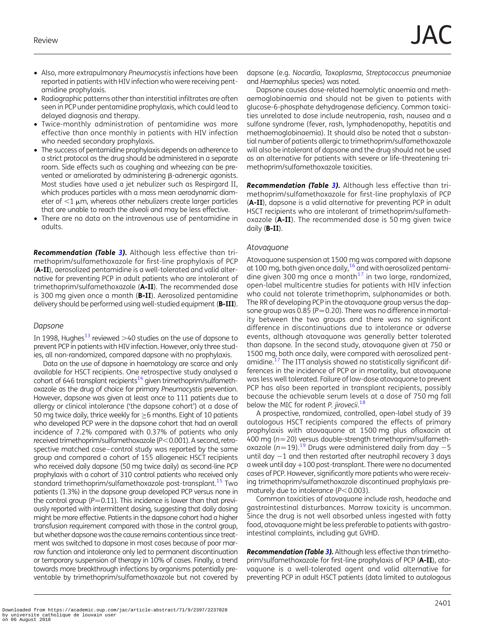- Also, more extrapulmonary Pneumocystis infections have been reported in patients with HIV infection who were receiving pentamidine prophylaxis.
- Radiographic patterns other than interstitial infiltrates are often seen in PCP under pentamidine prophylaxis, which could lead to delayed diagnosis and therapy.
- Twice-monthly administration of pentamidine was more effective than once monthly in patients with HIV infection who needed secondary prophylaxis.
- The success of pentamidine prophylaxis depends on adherence to a strict protocol as the drug should be administered in a separate room. Side effects such as coughing and wheezing can be prevented or ameliorated by administering  $\beta$ -adrenergic agonists. Most studies have used a jet nebulizer such as Respirgard II, which produces particles with a mass mean aerodynamic diameter of  $<$ 1  $\mu$ m, whereas other nebulizers create larger particles that are unable to reach the alveoli and may be less effective.
- There are no data on the intravenous use of pentamidine in adults.

Recommendation (Table [3](#page-3-0)). Although less effective than trimethoprim/sulfamethoxazole for first-line prophylaxis of PCP (A-II), aerosolized pentamidine is a well-tolerated and valid alternative for preventing PCP in adult patients who are intolerant of trimethoprim/sulfamethoxazole (A-II). The recommended dose is 300 mg given once a month (B-II). Aerosolized pentamidine delivery should be performed using well-studied equipment (B-III).

#### Dapsone

In 1998, Hughes<sup>[13](#page-6-0)</sup> reviewed  $>$ 40 studies on the use of dapsone to prevent PCP in patients with HIV infection. However, only three studies, all non-randomized, compared dapsone with no prophylaxis.

Data on the use of dapsone in haematology are scarce and only available for HSCT recipients. One retrospective study analysed a cohort of 646 transplant recipients $14$  given trimethoprim/sulfamethoxazole as the drug of choice for primary Pneumocystis prevention. However, dapsone was given at least once to 111 patients due to allergy or clinical intolerance ('the dapsone cohort') at a dose of 50 mg twice daily, thrice weekly for  $\geq$ 6 months. Eight of 10 patients who developed PCP were in the dapsone cohort that had an overall incidence of 7.2% compared with 0.37% of patients who only received trimethoprim/sulfamethoxazole ( $P<0.001$ ). A second, retrospective matched case–control study was reported by the same group and compared a cohort of 155 allogeneic HSCT recipients who received daily dapsone (50 mg twice daily) as second-line PCP prophylaxis with a cohort of 310 control patients who received only standard trimethoprim/sulfamethoxazole post-transplant.<sup>15</sup> Two patients (1.3%) in the dapsone group developed PCP versus none in the control group ( $P=0.11$ ). This incidence is lower than that previously reported with intermittent dosing, suggesting that daily dosing might be more effective. Patients in the dapsone cohort had a higher transfusion requirement compared with those in the control group, but whether dapsone was the cause remains contentious since treatment was switched to dapsone in most cases because of poor marrow function and intolerance only led to permanent discontinuation or temporary suspension of therapy in 10% of cases. Finally, a trend towards more breakthrough infections by organisms potentially preventable by trimethoprim/sulfamethoxazole but not covered by dapsone (e.g. Nocardia, Toxoplasma, Streptococcus pneumoniae and Haemophilus species) was noted.

Dapsone causes dose-related haemolytic anaemia and methaemoglobinaemia and should not be given to patients with glucose-6-phosphate dehydrogenase deficiency. Common toxicities unrelated to dose include neutropenia, rash, nausea and a sulfone syndrome (fever, rash, lymphadenopathy, hepatitis and methaemoglobinaemia). It should also be noted that a substantial number of patients allergic to trimethoprim/sulfamethoxazole will also be intolerant of dapsone and the drug should not be used as an alternative for patients with severe or life-threatening trimethoprim/sulfamethoxazole toxicities.

Recommendation (Table [3](#page-3-0)). Although less effective than trimethoprim/sulfamethoxazole for first-line prophylaxis of PCP (A-II), dapsone is a valid alternative for preventing PCP in adult HSCT recipients who are intolerant of trimethoprim/sulfamethoxazole (A-II). The recommended dose is 50 mg given twice daily  $(B-II)$ .

#### Atovaquone

Atovaquone suspension at 1500 mg was compared with dapsone at 100 mg, both given once daily,  $16$  and with aerosolized pentamidine given 300 mg once a month $17$  in two large, randomized, open-label multicentre studies for patients with HIV infection who could not tolerate trimethoprim, sulphonamides or both. The RR of developing PCP in the atovaquone group versus the dapsone group was 0.85 ( $P = 0.20$ ). There was no difference in mortality between the two groups and there was no significant difference in discontinuations due to intolerance or adverse events, although atovaquone was generally better tolerated than dapsone. In the second study, atovaquone given at 750 or 1500 mg, both once daily, were compared with aerosolized pent-amidine.<sup>[17](#page-6-0)</sup> The ITT analysis showed no statistically significant differences in the incidence of PCP or in mortality, but atovaquone was less well tolerated. Failure of low-dose atovaquone to prevent PCP has also been reported in transplant recipients, possibly because the achievable serum levels at a dose of 750 mg fall below the MIC for rodent P. jirovecii.<sup>[18](#page-6-0)</sup>

A prospective, randomized, controlled, open-label study of 39 autologous HSCT recipients compared the effects of primary prophylaxis with atovaquone at 1500 mg plus ofloxacin at 400 mg ( $n=20$ ) versus double-strength trimethoprim/sulfameth-oxazole (n=[19](#page-6-0)).<sup>19</sup> Drugs were administered daily from day  $-5$ until day  $-1$  and then restarted after neutrophil recovery 3 days a week until day +100 post-transplant. There were no documented cases of PCP. However, significantly more patients who were receiving trimethoprim/sulfamethoxazole discontinued prophylaxis prematurely due to intolerance  $(P<0.003)$ .

Common toxicities of atovaquone include rash, headache and gastrointestinal disturbances. Marrow toxicity is uncommon. Since the drug is not well absorbed unless ingested with fatty food, atovaquone might be less preferable to patients with gastrointestinal complaints, including gut GVHD.

**Recommendation (Table [3](#page-3-0)).** Although less effective than trimethoprim/sulfamethoxazole for first-line prophylaxis of PCP (A-II), atovaquone is a well-tolerated agent and valid alternative for preventing PCP in adult HSCT patients (data limited to autologous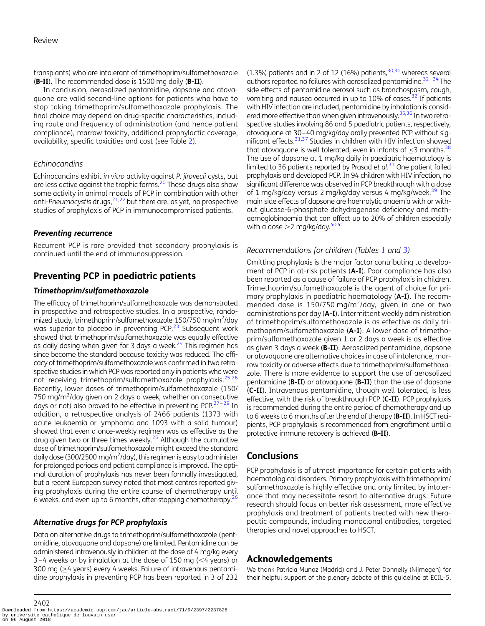transplants) who are intolerant of trimethoprim/sulfamethoxazole (B-II). The recommended dose is 1500 mg daily (B-II).

In conclusion, aerosolized pentamidine, dapsone and atovaquone are valid second-line options for patients who have to stop taking trimethoprim/sulfamethoxazole prophylaxis. The final choice may depend on drug-specific characteristics, including route and frequency of administration (and hence patient compliance), marrow toxicity, additional prophylactic coverage, availability, specific toxicities and cost (see Table [2](#page-2-0)).

#### Echinocandins

Echinocandins exhibit in vitro activity against P. jirovecii cysts, but are less active against the trophic forms.<sup>[20](#page-6-0)</sup> These drugs also show some activity in animal models of PCP in combination with other anti-Pneumocystis drugs,  $2^{1,22}$  $2^{1,22}$  $2^{1,22}$  but there are, as yet, no prospective studies of prophylaxis of PCP in immunocompromised patients.

#### Preventing recurrence

Recurrent PCP is rare provided that secondary prophylaxis is continued until the end of immunosuppression.

# Preventing PCP in paediatric patients

#### Trimethoprim/sulfamethoxazole

The efficacy of trimethoprim/sulfamethoxazole was demonstrated in prospective and retrospective studies. In a prospective, randomized study, trimethoprim/sulfamethoxazole 150/750 mg/m<sup>2</sup>/day was superior to placebo in preventing PCP.<sup>[23](#page-7-0)</sup> Subsequent work showed that trimethoprim/sulfamethoxazole was equally effective as daily dosing when given for 3 days a week.<sup>24</sup> This regimen has since become the standard because toxicity was reduced. The efficacy of trimethoprim/sulfamethoxazole was confirmed in two retrospective studies in which PCP was reported only in patients who were not receiving trimethoprim/sulfamethoxazole prophylaxis.<sup>[25](#page-7-0),[26](#page-7-0)</sup> Recently, lower doses of trimethoprim/sulfamethoxazole (150/ 750 mg/m<sup>2</sup>/day given on 2 days a week, whether on consecutive days or not) also proved to be effective in preventing PCP.<sup>[27](#page-7-0)-[29](#page-7-0)</sup> In addition, a retrospective analysis of 2466 patients (1373 with acute leukaemia or lymphoma and 1093 with a solid tumour) showed that even a once-weekly regimen was as effective as the drug given two or three times weekly.<sup>25</sup> Although the cumulative dose of trimethoprim/sulfamethoxazole might exceed the standard daily dose (300/2500 mg/m<sup>2</sup>/day), this regimen is easy to administer for prolonged periods and patient compliance is improved. The optimal duration of prophylaxis has never been formally investigated, but a recent European survey noted that most centres reported giving prophylaxis during the entire course of chemotherapy until 6 weeks, and even up to 6 months, after stopping chemotherapy.<sup>26</sup>

#### Alternative drugs for PCP prophylaxis

Data on alternative drugs to trimethoprim/sulfamethoxazole (pentamidine, atovaquone and dapsone) are limited. Pentamidine can be administered intravenously in children at the dose of 4 mg/kg every 3–4 weeks or by inhalation at the dose of 150 mg ( $<$ 4 years) or 300 mg (≥4 years) every 4 weeks. Failure of intravenous pentamidine prophylaxis in preventing PCP has been reported in 3 of 232

 $(1.3\%)$  patients and in 2 of 12 (16%) patients,  $30,31$  whereas several authors reported no failures with aerosolized pentamidine.<sup>32-[34](#page-7-0)</sup> The side effects of pentamidine aerosol such as bronchospasm, cough, vomiting and nausea occurred in up to 10% of cases.<sup>[32](#page-7-0)</sup> If patients with HIV infection are included, pentamidine by inhalation is consid-ered more effective than when given intravenously.<sup>[35,36](#page-7-0)</sup> In two retrospective studies involving 86 and 5 paediatric patients, respectively, atovaquone at 30–40 mg/kg/day orally prevented PCP without significant effects.<sup>31,37</sup> Studies in children with HIV infection showed that atovaguone is well tolerated, even in infants of  $\leq$ 3 months.<sup>38</sup> The use of dapsone at 1 mg/kg daily in paediatric haematology is limited to 36 patients reported by Prasad et al.<sup>[31](#page-7-0)</sup> One patient failed prophylaxis and developed PCP. In 94 children with HIV infection, no significant difference was observed in PCP breakthrough with a dose of 1 mg/kg/day versus 2 mg/kg/day versus 4 mg/kg/week.<sup>[39](#page-7-0)</sup> The main side effects of dapsone are haemolytic anaemia with or without glucose-6-phosphate dehydrogenase deficiency and methaemoglobinaemia that can affect up to 20% of children especially with a dose  $>$  2 mg/kg/day.<sup>40,41</sup>

#### Recommendations for children (Tables [1](#page-1-0) and [3\)](#page-3-0)

Omitting prophylaxis is the major factor contributing to development of PCP in at-risk patients (A-I). Poor compliance has also been reported as a cause of failure of PCP prophylaxis in children. Trimethoprim/sulfamethoxazole is the agent of choice for primary prophylaxis in paediatric haematology (A-I). The recommended dose is 150/750 mg/m<sup>2</sup>/day, given in one or two administrations per day (A-I). Intermittent weekly administration of trimethoprim/sulfamethoxazole is as effective as daily trimethoprim/sulfamethoxazole (A-I). A lower dose of trimethoprim/sulfamethoxazole given 1 or 2 days a week is as effective as given 3 days a week (B-II). Aerosolized pentamidine, dapsone or atovaquone are alternative choices in case of intolerance, marrow toxicity or adverse effects due to trimethoprim/sulfamethoxazole. There is more evidence to support the use of aerosolized pentamidine (B-II) or atovaquone (B-II) than the use of dapsone (C-II). Intravenous pentamidine, though well tolerated, is less effective, with the risk of breakthrough PCP (C-II). PCP prophylaxis is recommended during the entire period of chemotherapy and up to 6 weeks to 6 months after the end of therapy (**B-II**). In HSCT recipients, PCP prophylaxis is recommended from engraftment until a protective immune recovery is achieved (B-II).

## **Conclusions**

PCP prophylaxis is of utmost importance for certain patients with haematological disorders. Primary prophylaxis with trimethoprim/ sulfamethoxazole is highly effective and only limited by intolerance that may necessitate resort to alternative drugs. Future research should focus on better risk assessment, more effective prophylaxis and treatment of patients treated with new therapeutic compounds, including monoclonal antibodies, targeted therapies and novel approaches to HSCT.

### Acknowledgements

We thank Patricia Munoz (Madrid) and J. Peter Donnelly (Nijmegen) for their helpful support of the plenary debate of this guideline at ECIL-5.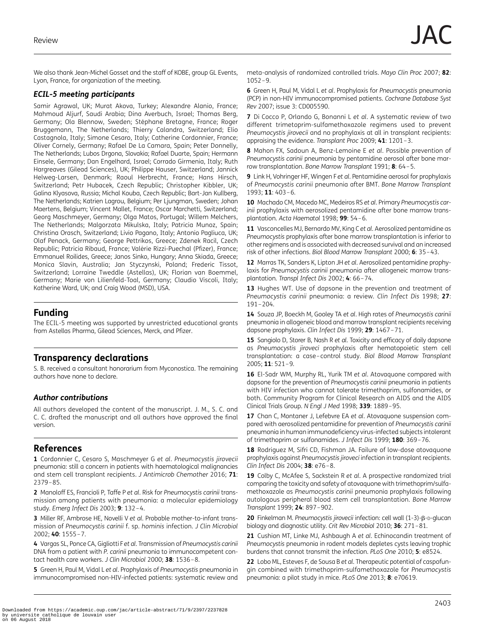<span id="page-6-0"></span>We also thank Jean-Michel Gosset and the staff of KOBE, group GL Events, Lyon, France, for organization of the meeting.

#### ECIL-5 meeting participants

Samir Agrawal, UK; Murat Akova, Turkey; Alexandre Alanio, France; Mahmoud Aljurf, Saudi Arabia; Dina Averbuch, Israel; Thomas Berg, Germany; Ola Blennow, Sweden; Stéphane Bretagne, France; Roger Bruggemann, The Netherlands; Thierry Calandra, Switzerland; Elio Castagnola, Italy; Simone Cesaro, Italy; Catherine Cordonnier, France; Oliver Cornely, Germany; Rafael De La Camara, Spain; Peter Donnelly, The Netherlands; Lubos Drgona, Slovakia; Rafael Duarte, Spain; Hermann Einsele, Germany; Dan Engelhard, Israel; Corrado Girmenia, Italy; Ruth Hargreaves (Gilead Sciences), UK; Philippe Hauser, Switzerland; Jannick Helweg-Larsen, Denmark; Raoul Herbrecht, France; Hans Hirsch, Switzerland; Petr Hubacek, Czech Republic; Christopher Kibbler, UK; Galina Klyasova, Russia; Michal Kouba, Czech Republic; Bart-Jan Kullberg, The Netherlands; Katrien Lagrou, Belgium; Per Ljungman, Sweden; Johan Maertens, Belgium; Vincent Mallet, France; Oscar Marchetti, Switzerland; Georg Maschmeyer, Germany; Olga Matos, Portugal; Willem Melchers, The Netherlands; Malgorzata Mikulska, Italy; Patricia Munoz, Spain; Christina Orasch, Switzerland; Livio Pagano, Italy; Antonio Pagliuca, UK; Olaf Penack, Germany; George Pettrikos, Greece; Zdenek Racil, Czech Republic; Patricia Ribaud, France; Valérie Rizzi-Puechal (Pfizer), France; Emmanuel Roilides, Greece; Janos Sinko, Hungary; Anna Skiada, Greece; Monica Slavin, Australia; Jan Styczynski, Poland; Frederic Tissot, Switzerland; Lorraine Tweddle (Astellas), UK; Florian van Boemmel, Germany; Marie von Lilienfeld-Toal, Germany; Claudio Viscoli, Italy; Katherine Ward, UK; and Craig Wood (MSD), USA.

### Funding

The ECIL-5 meeting was supported by unrestricted educational grants from Astellas Pharma, Gilead Sciences, Merck, and Pfizer.

# Transparency declarations

S. B. received a consultant honorarium from Myconostica. The remaining authors have none to declare.

### Author contributions

All authors developed the content of the manuscript. J. M., S. C. and C. C. drafted the manuscript and all authors have approved the final version.

## References

1 Cordonnier C, Cesaro S, Maschmeyer G et al. Pneumocystis jirovecii pneumonia: still a concern in patients with haematological malignancies and stem cell transplant recipients. J Antimicrob Chemother 2016; 71: 2379–85.

2 Manoloff ES, Francioli P, Taffe P et al. Risk for Pneumocystis carinii transmission among patients with pneumonia: a molecular epidemiology study. Emerg Infect Dis 2003; 9: 132–4.

3 Miller RF, Ambrose HE, Novelli V et al. Probable mother-to-infant transmission of Pneumocystis carinii f. sp. hominis infection. J Clin Microbiol 2002; 40: 1555–7.

4 Vargas SL, Ponce CA, Gigliotti Fet al. Transmission of Pneumocystis carinii DNA from a patient with P. carinii pneumonia to immunocompetent contact health care workers. J Clin Microbiol 2000; 38: 1536-8.

5 Green H, Paul M, Vidal L et al. Prophylaxis of Pneumocystis pneumonia in immunocompromised non-HIV-infected patients: systematic review and meta-analysis of randomized controlled trials. Mayo Clin Proc 2007; 82: 1052–9.

6 Green H, Paul M, Vidal L et al. Prophylaxis for Pneumocystis pneumonia (PCP) in non-HIV immunocompromised patients. Cochrane Database Syst Rev 2007; issue 3: CD005590.

7 Di Cocco P, Orlando G, Bonanni L et al. A systematic review of two different trimetoprim-sulfamethoxazole regimens used to prevent Pneumocystis jirovecii and no prophylaxis at all in transplant recipients: appraising the evidence. Transplant Proc 2009; 41: 1201–3.

8 Mahon FX, Sadoun A, Benz-Lemoine E et al. Possible prevention of Pneumocystis carinii pneumonia by pentamidine aerosol after bone marrow transplantation. Bone Marrow Transplant 1991; 8: 64–5.

9 Link H, Vohringer HF, Wingen F et al. Pentamidine aerosol for prophylaxis of Pneumocystis carinii pneumonia after BMT. Bone Marrow Transplant 1993; 11: 403–6.

10 Machado CM, Macedo MC, Medeiros RS et al. Primary Pneumocystis carinii prophylaxis with aerosolized pentamidine after bone marrow transplantation. Acta Haematol 1998; 99: 54–6.

11 Vasconcelles MJ, Bernardo MV, King C et al. Aerosolized pentamidine as Pneumocystis prophylaxis after bone marrow transplantation is inferior to other regimens and is associated with decreased survival and an increased risk of other infections. Biol Blood Marrow Transplant 2000; 6: 35–43.

12 Marras TK, Sanders K, Lipton JH et al. Aerosolized pentamidine prophylaxis for Pneumocystis carinii pneumonia after allogeneic marrow transplantation. Transpl Infect Dis 2002; 4: 66–74.

13 Hughes WT. Use of dapsone in the prevention and treatment of Pneumocystis carinii pneumonia: a review. Clin Infect Dis 1998; 27: 191–204.

14 Souza JP, Boeckh M, Gooley TA et al. High rates of Pneumocystis carinii pneumonia in allogeneic blood and marrow transplant recipients receiving dapsone prophylaxis. Clin Infect Dis 1999; 29: 1467–71.

15 Sangiolo D, Storer B, Nash R et al. Toxicity and efficacy of daily dapsone as Pneumocystis jiroveci prophylaxis after hematopoietic stem cell transplantation: a case–control study. Biol Blood Marrow Transplant 2005; 11: 521–9.

16 El-Sadr WM, Murphy RL, Yurik TM et al. Atovaquone compared with dapsone for the prevention of Pneumocystis carinii pneumonia in patients with HIV infection who cannot tolerate trimethoprim, sulfonamides, or both. Community Program for Clinical Research on AIDS and the AIDS Clinical Trials Group. N Engl J Med 1998; 339: 1889–95.

17 Chan C, Montaner J, Lefebvre EA et al. Atovaquone suspension compared with aerosolized pentamidine for prevention of Pneumocystis carinii pneumonia in human immunodeficiency virus-infected subjects intolerant of trimethoprim or sulfonamides. J Infect Dis 1999; 180: 369–76.

18 Rodriguez M, Sifri CD, Fishman JA. Failure of low-dose atovaguone prophylaxis against Pneumocystis jiroveci infection in transplant recipients. Clin Infect Dis 2004; 38: e76–8.

19 Colby C, McAfee S, Sackstein R et al. A prospective randomized trial comparing the toxicity and safety of atovaquone with trimethoprim/sulfamethoxazole as Pneumocystis carinii pneumonia prophylaxis following autologous peripheral blood stem cell transplantation. Bone Marrow Transplant 1999; 24: 897–902.

20 Finkelman M. Pneumocystis jirovecii infection: cell wall  $(1-3)-\beta$ -D-glucan biology and diagnostic utility. Crit Rev Microbiol 2010; 36: 271-81.

21 Cushion MT, Linke MJ, Ashbaugh A et al. Echinocandin treatment of Pneumocystis pneumonia in rodent models depletes cysts leaving trophic burdens that cannot transmit the infection. PLoS One 2010; 5: e8524.

22 Lobo ML, Esteves F, de Sousa B et al. Therapeutic potential of caspofungin combined with trimethoprim-sulfamethoxazole for Pneumocystis pneumonia: a pilot study in mice. PLoS One 2013; 8: e70619.